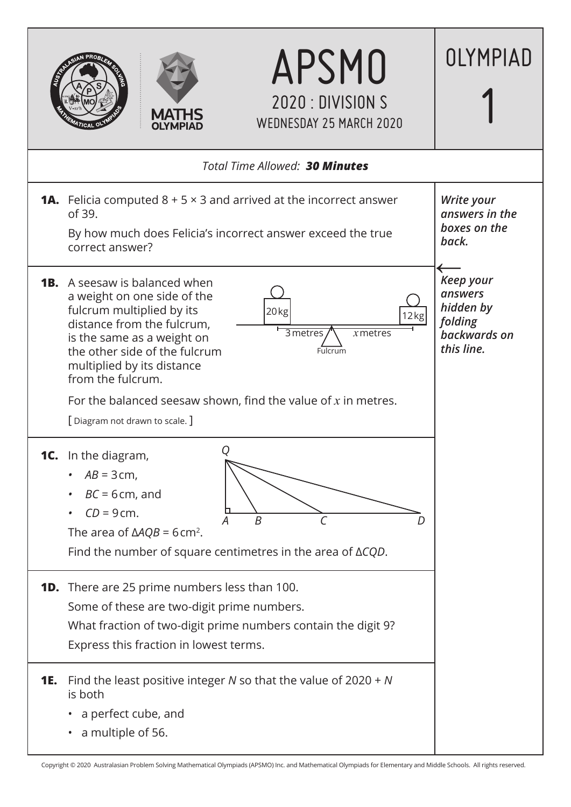

Copyright © 2020 Australasian Problem Solving Mathematical Olympiads (APSMO) Inc. and Mathematical Olympiads for Elementary and Middle Schools. All rights reserved.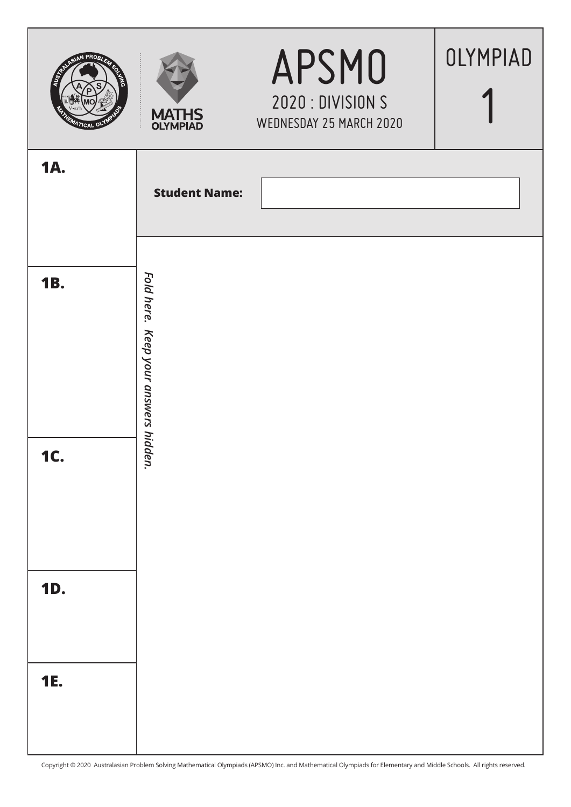| <b>SER</b><br><b>TICAL OV</b> | <b>MATHS</b><br><b>OLYMPIAD</b>         | <b>APSMO</b><br>2020 : DIVISION S<br>WEDNESDAY 25 MARCH 2020 | OLYMPIAD |
|-------------------------------|-----------------------------------------|--------------------------------------------------------------|----------|
| <b>1A.</b>                    | <b>Student Name:</b>                    |                                                              |          |
| <b>1B.</b>                    | Fold here.<br>Keep your answers hidden. |                                                              |          |
| <b>1C.</b>                    |                                         |                                                              |          |
| <b>1D.</b>                    |                                         |                                                              |          |
| <b>1E.</b>                    |                                         |                                                              |          |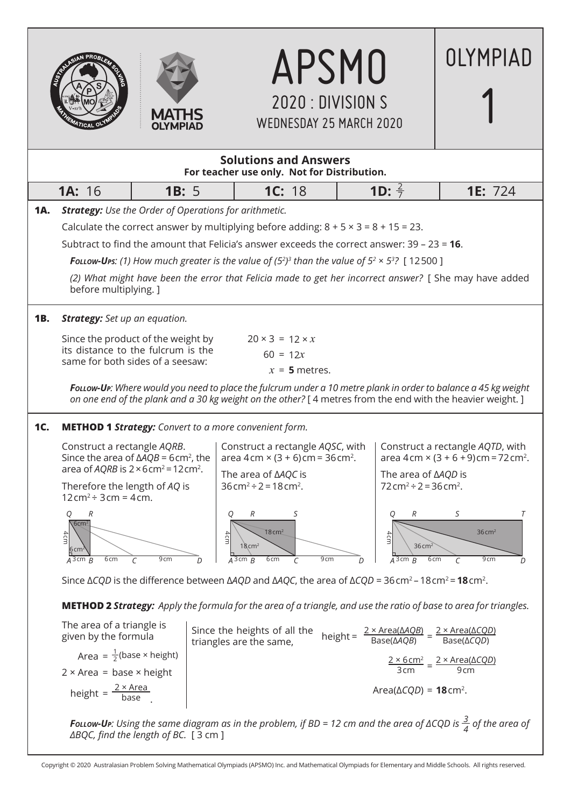

 $2 \times$  Area = base  $\times$  height

height =  $\frac{2 \times Area}{base}$ .





APSMO

OLYMPIAD

9 cm

Area(Δ*CQD*) = **18** cm2.

*Follow-Up: Using the same diagram as in the problem, if BD = 12 cm and the area of ΔCQD is <sup>3</sup> <sup>4</sup> of the area of ΔBQC, find the length of BC.* [ 3 cm ]

Copyright © 2020 Australasian Problem Solving Mathematical Olympiads (APSMO) Inc. and Mathematical Olympiads for Elementary and Middle Schools. All rights reserved.